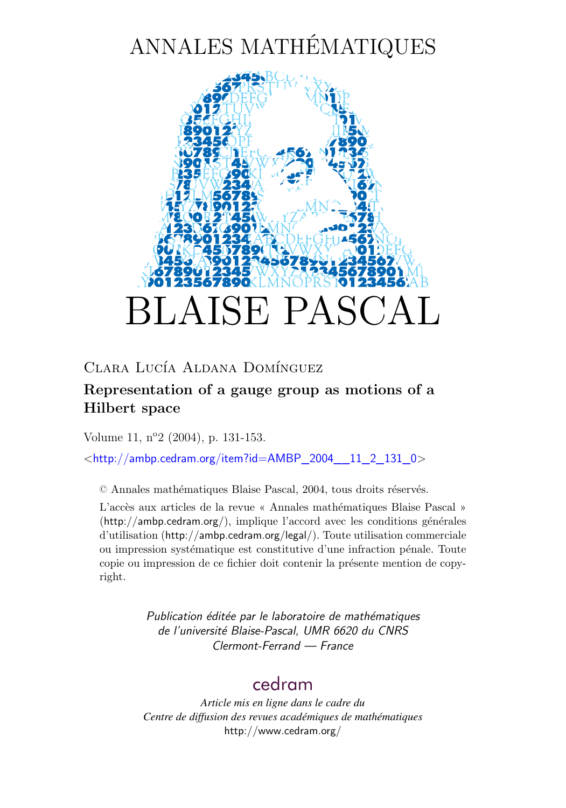# ANNALES MATHÉMATIQUES



## Clara Lucía Aldana Domínguez

## **Representation of a gauge group as motions of a Hilbert space**

Volume 11, n<sup>o</sup>2 (2004), p. 131[-153.](#page-20-0)

<[http://ambp.cedram.org/item?id=AMBP\\_2004\\_\\_11\\_2\\_131\\_0](http://ambp.cedram.org/item?id=AMBP_2004__11_2_131_0)>

© Annales mathématiques Blaise Pascal, 2004, tous droits réservés.

L'accès aux articles de la revue « Annales mathématiques Blaise Pascal » (<http://ambp.cedram.org/>), implique l'accord avec les conditions générales d'utilisation (<http://ambp.cedram.org/legal/>). Toute utilisation commerciale ou impression systématique est constitutive d'une infraction pénale. Toute copie ou impression de ce fichier doit contenir la présente mention de copyright.

> *Publication éditée par le laboratoire de mathématiques de l'université Blaise-Pascal, UMR 6620 du CNRS Clermont-Ferrand — France*

# [cedram](http://www.cedram.org/)

*Article mis en ligne dans le cadre du Centre de diffusion des revues académiques de mathématiques* <http://www.cedram.org/>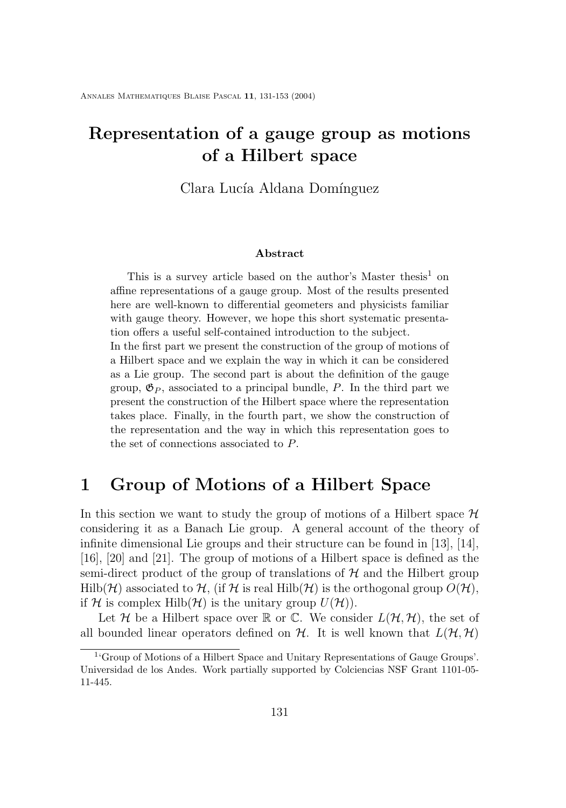# **Representation of a gauge group as motions of a Hilbert space**

Clara Lucía Aldana Domínguez

#### **Abstract**

This is a survey article based on the author's Master thesis<sup>1</sup> on affine representations of a gauge group. Most of the results presented here are well-known to differential geometers and physicists familiar with gauge theory. However, we hope this short systematic presentation offers a useful self-contained introduction to the subject.

In the first part we present the construction of the group of motions of a Hilbert space and we explain the way in which it can be considered as a Lie group. The second part is about the definition of the gauge group,  $\mathfrak{G}_P$ , associated to a principal bundle, P. In the third part we present the construction of the Hilbert space where the representation takes place. Finally, in the fourth part, we show the construction of the representation and the way in which this representation goes to the set of connections associated to P.

## **1 Group of Motions of a Hilbert Space**

In this section we want to study the group of motions of a Hilbert space  $\mathcal H$ considering it as a Banach Lie group. A general account of the theory of infinite dimensional Lie groups and their structure can be found in [\[13\]](#page-21-0), [\[14\]](#page-21-0), [\[16\]](#page-22-0), [\[20\]](#page-22-0) and [\[21\]](#page-22-0). The group of motions of a Hilbert space is defined as the semi-direct product of the group of translations of  $H$  and the Hilbert group  $Hilb(\mathcal{H})$  associated to  $\mathcal{H}$ , (if  $\mathcal{H}$  is real  $Hilb(\mathcal{H})$  is the orthogonal group  $O(\mathcal{H})$ , if H is complex Hilb(H) is the unitary group  $U(\mathcal{H})$ ).

Let H be a Hilbert space over  $\mathbb R$  or  $\mathbb C$ . We consider  $L(\mathcal H, \mathcal H)$ , the set of all bounded linear operators defined on  $H$ . It is well known that  $L(\mathcal{H}, \mathcal{H})$ 

<sup>1</sup> 'Group of Motions of a Hilbert Space and Unitary Representations of Gauge Groups'. Universidad de los Andes. Work partially supported by Colciencias NSF Grant 1101-05- 11-445.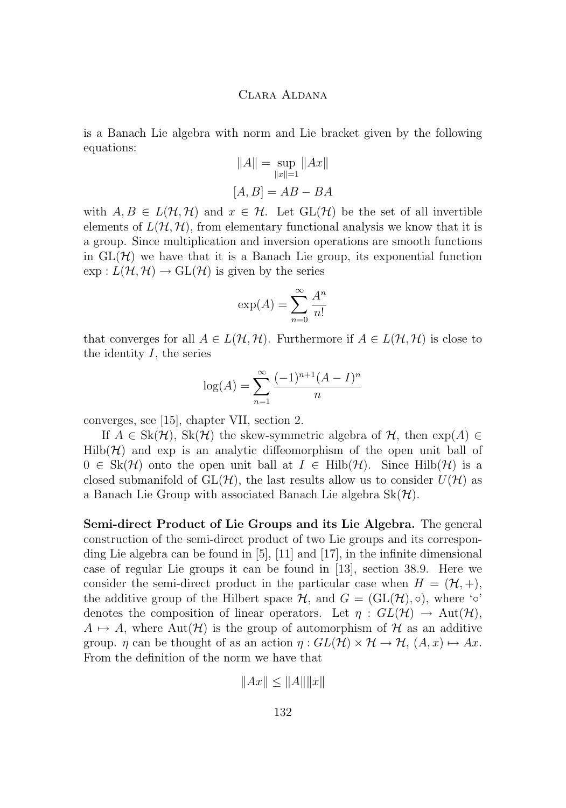is a Banach Lie algebra with norm and Lie bracket given by the following equations:

$$
||A|| = \sup_{||x||=1} ||Ax||
$$
  
[A, B] = AB - BA

with  $A, B \in L(\mathcal{H}, \mathcal{H})$  and  $x \in \mathcal{H}$ . Let  $GL(\mathcal{H})$  be the set of all invertible elements of  $L(\mathcal{H}, \mathcal{H})$ , from elementary functional analysis we know that it is a group. Since multiplication and inversion operations are smooth functions in  $GL(\mathcal{H})$  we have that it is a Banach Lie group, its exponential function  $\exp: L(\mathcal{H}, \mathcal{H}) \to \text{GL}(\mathcal{H})$  is given by the series

$$
\exp(A) = \sum_{n=0}^{\infty} \frac{A^n}{n!}
$$

that converges for all  $A \in L(H, H)$ . Furthermore if  $A \in L(H, H)$  is close to the identity  $I$ , the series

$$
\log(A) = \sum_{n=1}^{\infty} \frac{(-1)^{n+1}(A - I)^n}{n}
$$

converges, see [\[15\]](#page-22-0), chapter VII, section 2.

If  $A \in Sk(\mathcal{H})$ ,  $Sk(\mathcal{H})$  the skew-symmetric algebra of  $\mathcal{H}$ , then  $exp(A) \in$  $Hilb(\mathcal{H})$  and exp is an analytic diffeomorphism of the open unit ball of  $0 \in Sk(\mathcal{H})$  onto the open unit ball at  $I \in Hilb(\mathcal{H})$ . Since Hilb( $\mathcal{H}$ ) is a closed submanifold of  $GL(\mathcal{H})$ , the last results allow us to consider  $U(\mathcal{H})$  as a Banach Lie Group with associated Banach Lie algebra  $Sk(\mathcal{H})$ .

**Semi-direct Product of Lie Groups and its Lie Algebra.** The general construction of the semi-direct product of two Lie groups and its corresponding Lie algebra can be found in [\[5\]](#page-21-0), [\[11\]](#page-21-0) and [\[17\]](#page-22-0), in the infinite dimensional case of regular Lie groups it can be found in [\[13\]](#page-21-0), section 38.9. Here we consider the semi-direct product in the particular case when  $H = (\mathcal{H}, +),$ the additive group of the Hilbert space  $\mathcal{H}$ , and  $G = (\mathrm{GL}(\mathcal{H}), \circ)$ , where ' $\circ$ ' denotes the composition of linear operators. Let  $\eta : GL(\mathcal{H}) \to Aut(\mathcal{H})$ ,  $A \mapsto A$ , where Aut $(\mathcal{H})$  is the group of automorphism of H as an additive group.  $\eta$  can be thought of as an action  $\eta: GL(H) \times H \to H$ ,  $(A, x) \mapsto Ax$ . From the definition of the norm we have that

 $||Ax|| \le ||A||||x||$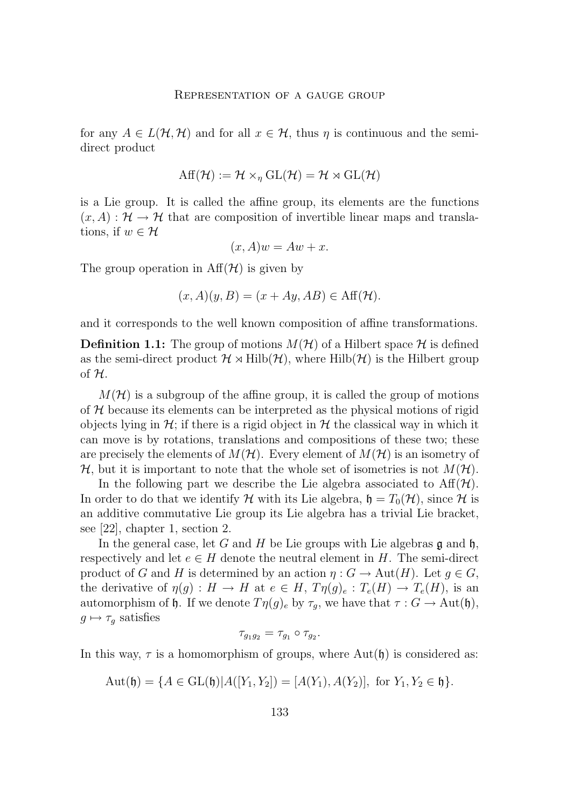for any  $A \in L(H, H)$  and for all  $x \in H$ , thus  $\eta$  is continuous and the semidirect product

$$
\mathrm{Aff}(\mathcal{H}) := \mathcal{H} \times_{\eta} \mathrm{GL}(\mathcal{H}) = \mathcal{H} \rtimes \mathrm{GL}(\mathcal{H})
$$

is a Lie group. It is called the affine group, its elements are the functions  $(x, A) : \mathcal{H} \to \mathcal{H}$  that are composition of invertible linear maps and translations, if  $w \in \mathcal{H}$ 

$$
(x, A)w = Aw + x.
$$

The group operation in  $\text{Aff}(\mathcal{H})$  is given by

$$
(x, A)(y, B) = (x + Ay, AB) \in \text{Aff}(\mathcal{H}).
$$

and it corresponds to the well known composition of affine transformations.

**Definition 1.1:** The group of motions  $M(\mathcal{H})$  of a Hilbert space  $\mathcal{H}$  is defined as the semi-direct product  $\mathcal{H} \rtimes \text{Hilb}(\mathcal{H})$ , where  $\text{Hilb}(\mathcal{H})$  is the Hilbert group of  $H$ .

 $M(\mathcal{H})$  is a subgroup of the affine group, it is called the group of motions of  $H$  because its elements can be interpreted as the physical motions of rigid objects lying in  $\mathcal{H}$ ; if there is a rigid object in  $\mathcal{H}$  the classical way in which it can move is by rotations, translations and compositions of these two; these are precisely the elements of  $M(\mathcal{H})$ . Every element of  $M(\mathcal{H})$  is an isometry of  $\mathcal{H}$ , but it is important to note that the whole set of isometries is not  $M(\mathcal{H})$ .

In the following part we describe the Lie algebra associated to  $\text{Aff}(\mathcal{H})$ . In order to do that we identify H with its Lie algebra,  $\mathfrak{h} = T_0(\mathcal{H})$ , since H is an additive commutative Lie group its Lie algebra has a trivial Lie bracket, see [\[22\]](#page-22-0), chapter 1, section 2.

In the general case, let G and H be Lie groups with Lie algebras  $\mathfrak g$  and  $\mathfrak h$ , respectively and let  $e \in H$  denote the neutral element in H. The semi-direct product of G and H is determined by an action  $\eta: G \to \text{Aut}(H)$ . Let  $g \in G$ , the derivative of  $\eta(g) : H \to H$  at  $e \in H$ ,  $T\eta(g)_e : T_e(H) \to T_e(H)$ , is an automorphism of h. If we denote  $T\eta(g)_e$  by  $\tau_q$ , we have that  $\tau: G \to \text{Aut}(\mathfrak{h}),$  $g \mapsto \tau_g$  satisfies

$$
\tau_{g_1g_2}=\tau_{g_1}\circ\tau_{g_2}.
$$

In this way,  $\tau$  is a homomorphism of groups, where  $\text{Aut}(\mathfrak{h})$  is considered as:

$$
Aut(\mathfrak{h}) = \{ A \in GL(\mathfrak{h}) | A([Y_1, Y_2]) = [A(Y_1), A(Y_2)], \text{ for } Y_1, Y_2 \in \mathfrak{h} \}.
$$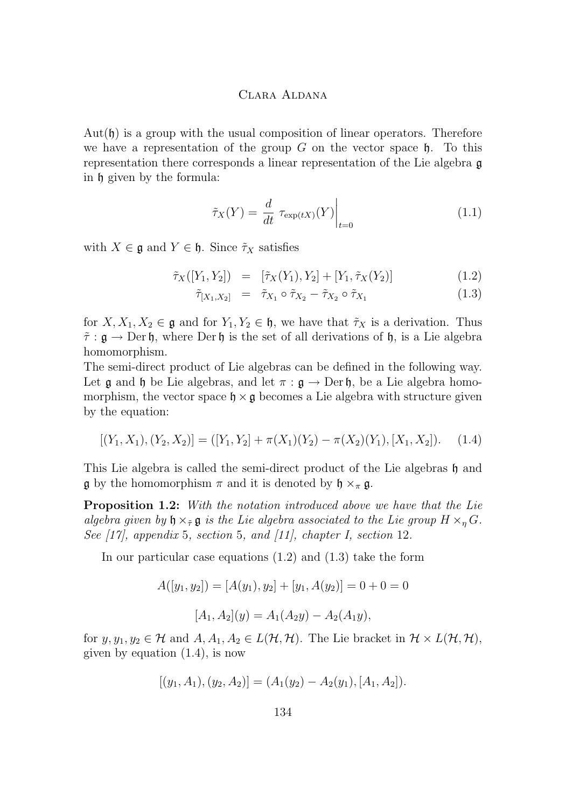$Aut(\mathfrak{h})$  is a group with the usual composition of linear operators. Therefore we have a representation of the group G on the vector space  $\mathfrak h$ . To this representation there corresponds a linear representation of the Lie algebra g in h given by the formula:

$$
\tilde{\tau}_X(Y) = \frac{d}{dt} \tau_{\exp(tX)}(Y) \Big|_{t=0} \tag{1.1}
$$

with  $X \in \mathfrak{g}$  and  $Y \in \mathfrak{h}$ . Since  $\tilde{\tau}_X$  satisfies

$$
\tilde{\tau}_X([Y_1, Y_2]) = [\tilde{\tau}_X(Y_1), Y_2] + [Y_1, \tilde{\tau}_X(Y_2)] \tag{1.2}
$$

$$
\tilde{\tau}_{[X_1, X_2]} = \tilde{\tau}_{X_1} \circ \tilde{\tau}_{X_2} - \tilde{\tau}_{X_2} \circ \tilde{\tau}_{X_1}
$$
\n(1.3)

for  $X, X_1, X_2 \in \mathfrak{g}$  and for  $Y_1, Y_2 \in \mathfrak{h}$ , we have that  $\tilde{\tau}_X$  is a derivation. Thus  $\tilde{\tau}$ :  $\mathfrak{g} \to \text{Der } \mathfrak{h}$ , where  $\text{Der } \mathfrak{h}$  is the set of all derivations of  $\mathfrak{h}$ , is a Lie algebra homomorphism.

The semi-direct product of Lie algebras can be defined in the following way. Let  $\mathfrak g$  and  $\mathfrak h$  be Lie algebras, and let  $\pi : \mathfrak g \to \text{Der } \mathfrak h$ , be a Lie algebra homomorphism, the vector space  $\mathfrak{h} \times \mathfrak{g}$  becomes a Lie algebra with structure given by the equation:

$$
[(Y_1, X_1), (Y_2, X_2)] = ([Y_1, Y_2] + \pi(X_1)(Y_2) - \pi(X_2)(Y_1), [X_1, X_2]). \quad (1.4)
$$

This Lie algebra is called the semi-direct product of the Lie algebras  $\mathfrak h$  and  $\mathfrak g$  by the homomorphism  $\pi$  and it is denoted by  $\mathfrak h \times_{\pi} \mathfrak g$ .

**Proposition 1.2:** *With the notation introduced above we have that the Lie algebra given by*  $\mathfrak{h} \times_{\tilde{\tau}} \mathfrak{g}$  *is the Lie algebra associated to the Lie group*  $H \times_{n} G$ *. See [\[17\]](#page-22-0), appendix* 5*, section* 5*, and [\[11\]](#page-21-0), chapter I, section* 12*.*

In our particular case equations (1.2) and (1.3) take the form

$$
A([y_1, y_2]) = [A(y_1), y_2] + [y_1, A(y_2)] = 0 + 0 = 0
$$
  

$$
[A_1, A_2](y) = A_1(A_2y) - A_2(A_1y),
$$

for  $y, y_1, y_2 \in \mathcal{H}$  and  $A, A_1, A_2 \in L(\mathcal{H}, \mathcal{H})$ . The Lie bracket in  $\mathcal{H} \times L(\mathcal{H}, \mathcal{H})$ , given by equation (1.4), is now

$$
[(y_1, A_1), (y_2, A_2)] = (A_1(y_2) - A_2(y_1), [A_1, A_2]).
$$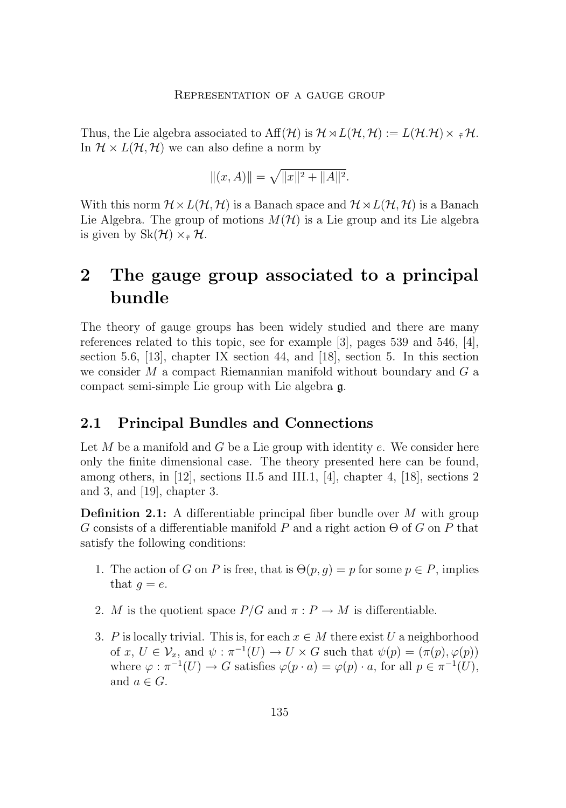Thus, the Lie algebra associated to  $\text{Aff}(\mathcal{H})$  is  $\mathcal{H} \rtimes L(\mathcal{H}, \mathcal{H}) := L(\mathcal{H} \mathcal{H}) \times {}_{\tilde{\tau}} \mathcal{H}$ . In  $\mathcal{H} \times L(\mathcal{H}, \mathcal{H})$  we can also define a norm by

$$
||(x,A)|| = \sqrt{||x||^2 + ||A||^2}.
$$

With this norm  $\mathcal{H} \times L(\mathcal{H}, \mathcal{H})$  is a Banach space and  $\mathcal{H} \rtimes L(\mathcal{H}, \mathcal{H})$  is a Banach Lie Algebra. The group of motions  $M(\mathcal{H})$  is a Lie group and its Lie algebra is given by  $\text{Sk}(\mathcal{H}) \times_{\tilde{\tau}} \mathcal{H}$ .

# **2 The gauge group associated to a principal bundle**

The theory of gauge groups has been widely studied and there are many references related to this topic, see for example [\[3\]](#page-21-0), pages 539 and 546, [\[4\]](#page-21-0), section 5.6, [\[13\]](#page-21-0), chapter IX section 44, and [\[18\]](#page-22-0), section 5. In this section we consider  $M$  a compact Riemannian manifold without boundary and  $G$  a compact semi-simple Lie group with Lie algebra g.

## **2.1 Principal Bundles and Connections**

Let  $M$  be a manifold and  $G$  be a Lie group with identity  $e$ . We consider here only the finite dimensional case. The theory presented here can be found, among others, in  $[12]$ , sections II.5 and III.1,  $[4]$ , chapter 4,  $[18]$ , sections 2 and 3, and [\[19\]](#page-22-0), chapter 3.

**Definition 2.1:** A differentiable principal fiber bundle over M with group G consists of a differentiable manifold P and a right action  $\Theta$  of G on P that satisfy the following conditions:

- 1. The action of G on P is free, that is  $\Theta(p,q) = p$  for some  $p \in P$ , implies that  $q = e$ .
- 2. M is the quotient space  $P/G$  and  $\pi : P \to M$  is differentiable.
- 3. P is locally trivial. This is, for each  $x \in M$  there exist U a neighborhood of  $x, U \in \mathcal{V}_x$ , and  $\psi : \pi^{-1}(U) \to U \times G$  such that  $\psi(p) = (\pi(p), \varphi(p))$ where  $\varphi : \pi^{-1}(U) \to G$  satisfies  $\varphi(p \cdot a) = \varphi(p) \cdot a$ , for all  $p \in \pi^{-1}(U)$ , and  $a \in G$ .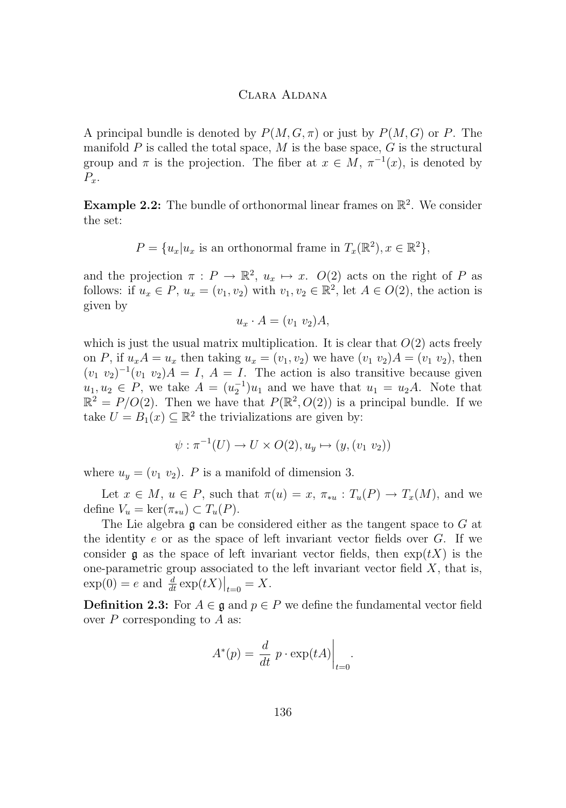A principal bundle is denoted by  $P(M, G, \pi)$  or just by  $P(M, G)$  or P. The manifold  $P$  is called the total space,  $M$  is the base space,  $G$  is the structural group and  $\pi$  is the projection. The fiber at  $x \in M$ ,  $\pi^{-1}(x)$ , is denoted by  $P_x$ .

**Example 2.2:** The bundle of orthonormal linear frames on  $\mathbb{R}^2$ . We consider the set:

$$
P = \{u_x | u_x \text{ is an orthonormal frame in } T_x(\mathbb{R}^2), x \in \mathbb{R}^2\},\
$$

and the projection  $\pi : P \to \mathbb{R}^2$ ,  $u_x \mapsto x$ .  $O(2)$  acts on the right of P as follows: if  $u_x \in P$ ,  $u_x = (v_1, v_2)$  with  $v_1, v_2 \in \mathbb{R}^2$ , let  $A \in O(2)$ , the action is given by

$$
u_x \cdot A = (v_1 \ v_2) A,
$$

which is just the usual matrix multiplication. It is clear that  $O(2)$  acts freely on P, if  $u_x A = u_x$  then taking  $u_x = (v_1, v_2)$  we have  $(v_1, v_2) A = (v_1, v_2)$ , then  $(v_1 \ v_2)^{-1}(v_1 \ v_2)A = I, A = I$ . The action is also transitive because given  $u_1, u_2 \in P$ , we take  $A = (u_2^{-1})u_1$  and we have that  $u_1 = u_2A$ . Note that  $\mathbb{R}^2 = P/O(2)$ . Then we have that  $P(\mathbb{R}^2, O(2))$  is a principal bundle. If we take  $U = B_1(x) \subseteq \mathbb{R}^2$  the trivializations are given by:

$$
\psi : \pi^{-1}(U) \to U \times O(2), u_y \mapsto (y, (v_1 \ v_2))
$$

where  $u_y = (v_1, v_2)$ . P is a manifold of dimension 3.

Let  $x \in M$ ,  $u \in P$ , such that  $\pi(u) = x$ ,  $\pi_{*u} : T_u(P) \to T_x(M)$ , and we define  $V_u = \ker(\pi_{*u}) \subset T_u(P)$ .

The Lie algebra  $\mathfrak g$  can be considered either as the tangent space to G at the identity  $e$  or as the space of left invariant vector fields over  $G$ . If we consider g as the space of left invariant vector fields, then  $exp(tX)$  is the one-parametric group associated to the left invariant vector field  $X$ , that is,  $\exp(0) = e$  and  $\frac{d}{dt} \exp(tX)|_{t=0} = X$ .

**Definition 2.3:** For  $A \in \mathfrak{g}$  and  $p \in P$  we define the fundamental vector field over  $P$  corresponding to  $A$  as:

$$
A^*(p) = \frac{d}{dt} p \cdot \exp(tA) \Big|_{t=0}.
$$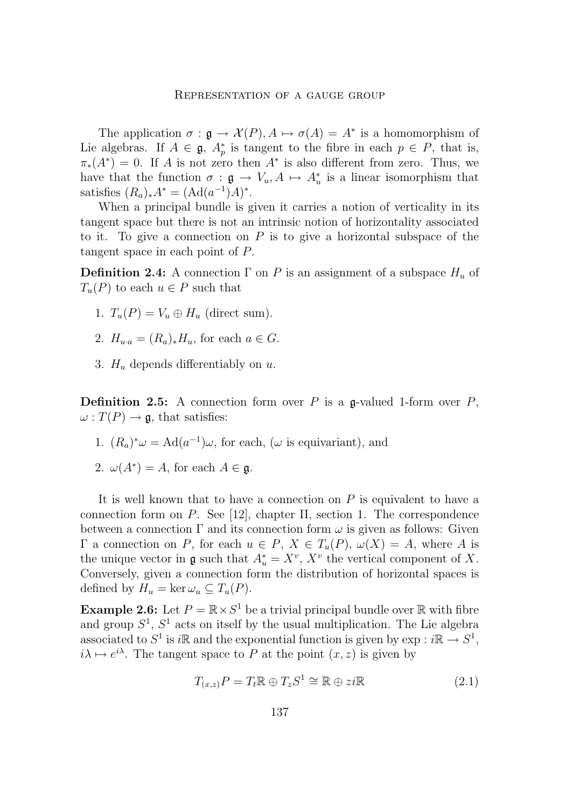<span id="page-7-0"></span>The application  $\sigma : \mathfrak{g} \to \mathcal{X}(P), A \mapsto \sigma(A) = A^*$  is a homomorphism of Lie algebras. If  $A \in \mathfrak{g}$ ,  $A_p^*$  is tangent to the fibre in each  $p \in P$ , that is,  $\pi_*(A^*) = 0$ . If A is not zero then  $A^*$  is also different from zero. Thus, we have that the function  $\sigma : \mathfrak{g} \to V_u, A \mapsto A_u^*$  is a linear isomorphism that satisfies  $(R_a)_*A^* = (\text{Ad}(a^{-1})A)^*.$ 

When a principal bundle is given it carries a notion of verticality in its tangent space but there is not an intrinsic notion of horizontality associated to it. To give a connection on  $P$  is to give a horizontal subspace of the tangent space in each point of P.

**Definition 2.4:** A connection  $\Gamma$  on P is an assignment of a subspace  $H_u$  of  $T_u(P)$  to each  $u \in P$  such that

- 1.  $T_u(P) = V_u \oplus H_u$  (direct sum).
- 2.  $H_{u \cdot a} = (R_a)_* H_u$ , for each  $a \in G$ .
- 3.  $H_u$  depends differentiably on u.

**Definition 2.5:** A connection form over  $P$  is a g-valued 1-form over  $P$ ,  $\omega: T(P) \to \mathfrak{g}$ , that satisfies:

- 1.  $(R_a)^*\omega = \text{Ad}(a^{-1})\omega$ , for each,  $(\omega$  is equivariant), and
- 2.  $\omega(A^*) = A$ , for each  $A \in \mathfrak{g}$ .

It is well known that to have a connection on  $P$  is equivalent to have a connection form on  $P$ . See [\[12\]](#page-21-0), chapter II, section 1. The correspondence between a connection  $\Gamma$  and its connection form  $\omega$  is given as follows: Given  $\Gamma$  a connection on P, for each  $u \in P$ ,  $X \in T_u(P)$ ,  $\omega(X) = A$ , where A is the unique vector in  $\mathfrak g$  such that  $A_u^* = X^v$ ,  $X^v$  the vertical component of X. Conversely, given a connection form the distribution of horizontal spaces is defined by  $H_u = \ker \omega_u \subseteq T_u(P)$ .

**Example 2.6:** Let  $P = \mathbb{R} \times S^1$  be a trivial principal bundle over  $\mathbb{R}$  with fibre and group  $S^1$ ,  $S^1$  acts on itself by the usual multiplication. The Lie algebra associated to  $S^1$  is i $\mathbb R$  and the exponential function is given by  $\exp : i\mathbb R \to S^1$ ,  $i\lambda \mapsto e^{i\lambda}$ . The tangent space to P at the point  $(x, z)$  is given by

$$
T_{(x,z)}P = T_t \mathbb{R} \oplus T_z S^1 \cong \mathbb{R} \oplus z \mathbb{i} \mathbb{R}
$$
\n(2.1)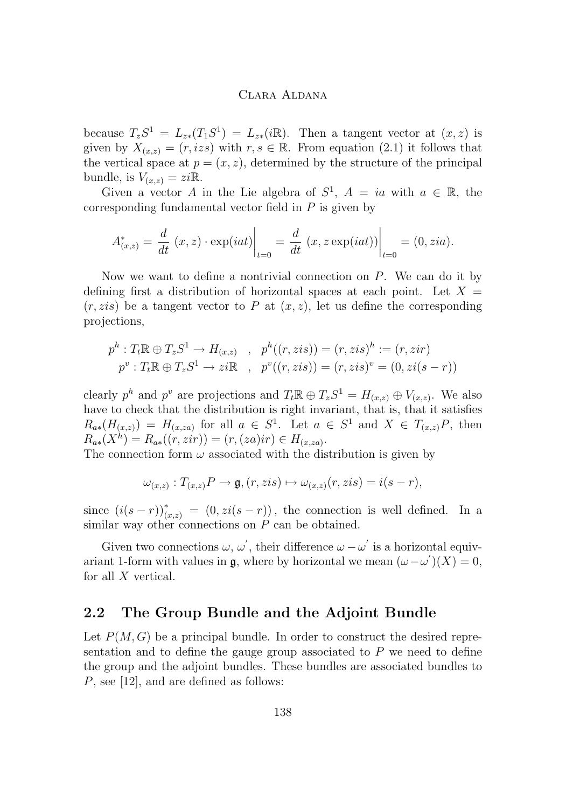because  $T_zS^1 = L_{z*}(T_1S^1) = L_{z*}(\mathbb{R})$ . Then a tangent vector at  $(x, z)$  is given by  $X_{(x,z)} = (r, izs)$  with  $r, s \in \mathbb{R}$ . From equation [\(2.1\)](#page-7-0) it follows that the vertical space at  $p = (x, z)$ , determined by the structure of the principal bundle, is  $V_{(x,z)} = zi\mathbb{R}$ .

Given a vector A in the Lie algebra of  $S^1$ ,  $A = ia$  with  $a \in \mathbb{R}$ , the corresponding fundamental vector field in  $P$  is given by

$$
A_{(x,z)}^* = \frac{d}{dt} (x, z) \cdot \exp(iat) \Big|_{t=0} = \frac{d}{dt} (x, z \exp(iat)) \Big|_{t=0} = (0, zia).
$$

Now we want to define a nontrivial connection on  $P$ . We can do it by defining first a distribution of horizontal spaces at each point. Let  $X =$  $(r, zis)$  be a tangent vector to P at  $(x, z)$ , let us define the corresponding projections,

$$
p^{h}: T_{t} \mathbb{R} \oplus T_{z} S^{1} \to H_{(x,z)} , p^{h}((r, zis)) = (r, zis)^{h} := (r, zir)
$$
  

$$
p^{v}: T_{t} \mathbb{R} \oplus T_{z} S^{1} \to zi \mathbb{R} , p^{v}((r, zis)) = (r, zis)^{v} = (0, zi(s - r))
$$

clearly  $p^h$  and  $p^v$  are projections and  $T_t \mathbb{R} \oplus T_z S^1 = H_{(x,z)} \oplus V_{(x,z)}$ . We also have to check that the distribution is right invariant, that is, that it satisfies  $R_{a*}(H_{(x,z)}) = H_{(x,za)}$  for all  $a \in S^1$ . Let  $a \in S^1$  and  $X \in T_{(x,z)}P$ , then  $R_{a*}(X^h) = R_{a*}((r, zir)) = (r, (za)ir) \in H_{(x, za)}.$ 

The connection form  $\omega$  associated with the distribution is given by

$$
\omega_{(x,z)}: T_{(x,z)}P \to \mathfrak{g}, (r, zis) \mapsto \omega_{(x,z)}(r, zis) = i(s-r),
$$

since  $(i(s - r))_{(x,z)}^* = (0, zi(s - r))$ , the connection is well defined. In a similar way other connections on  $P$  can be obtained.

Given two connections  $\omega, \omega'$ , their difference  $\omega - \omega'$  is a horizontal equivariant 1-form with values in  $\mathfrak{g}$ , where by horizontal we mean  $(\omega - \omega')(X) = 0$ , for all X vertical.

## **2.2 The Group Bundle and the Adjoint Bundle**

Let  $P(M, G)$  be a principal bundle. In order to construct the desired representation and to define the gauge group associated to  $P$  we need to define the group and the adjoint bundles. These bundles are associated bundles to P, see [\[12\]](#page-21-0), and are defined as follows: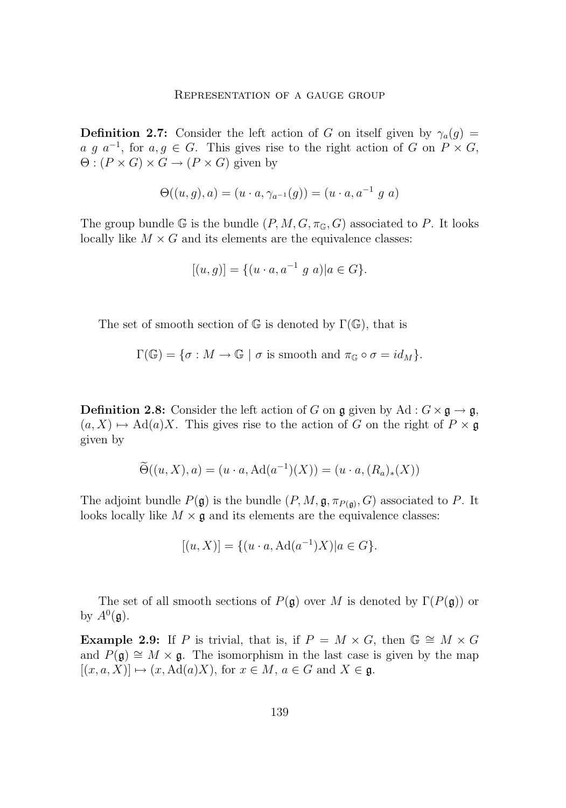**Definition 2.7:** Consider the left action of G on itself given by  $\gamma_a(g)$  = *a g*  $a^{-1}$ , for  $a, g \in G$ . This gives rise to the right action of *G* on *P* × *G*,  $\Theta: (P \times G) \times G \rightarrow (P \times G)$  given by

$$
\Theta((u,g),a) = (u \cdot a, \gamma_{a^{-1}}(g)) = (u \cdot a, a^{-1} g a)
$$

The group bundle G is the bundle  $(P, M, G, \pi_{\mathbb{G}}, G)$  associated to P. It looks locally like  $M \times G$  and its elements are the equivalence classes:

$$
[(u,g)] = \{(u \cdot a, a^{-1} g a) | a \in G\}.
$$

The set of smooth section of  $\mathbb G$  is denoted by  $\Gamma(\mathbb G)$ , that is

$$
\Gamma(\mathbb{G}) = \{ \sigma : M \to \mathbb{G} \mid \sigma \text{ is smooth and } \pi_{\mathbb{G}} \circ \sigma = id_M \}.
$$

**Definition 2.8:** Consider the left action of G on g given by Ad :  $G \times \mathfrak{g} \to \mathfrak{g}$ ,  $(a, X) \mapsto \text{Ad}(a)X$ . This gives rise to the action of G on the right of  $P \times \mathfrak{g}$ given by

$$
\widetilde{\Theta}((u, X), a) = (u \cdot a, \mathrm{Ad}(a^{-1})(X)) = (u \cdot a, (R_a)_*(X))
$$

The adjoint bundle  $P(\mathfrak{g})$  is the bundle  $(P, M, \mathfrak{g}, \pi_{P(\mathfrak{g})}, G)$  associated to P. It looks locally like  $M \times \mathfrak{g}$  and its elements are the equivalence classes:

$$
[(u, X)] = \{ (u \cdot a, \text{Ad}(a^{-1})X) | a \in G \}.
$$

The set of all smooth sections of  $P(\mathfrak{g})$  over M is denoted by  $\Gamma(P(\mathfrak{g}))$  or by  $A^0(\mathfrak{g})$ .

**Example 2.9:** If P is trivial, that is, if  $P = M \times G$ , then  $\mathbb{G} \cong M \times G$ and  $P(\mathfrak{g}) \cong M \times \mathfrak{g}$ . The isomorphism in the last case is given by the map  $[(x, a, X)] \mapsto (x, \text{Ad}(a)X)$ , for  $x \in M$ ,  $a \in G$  and  $X \in \mathfrak{g}$ .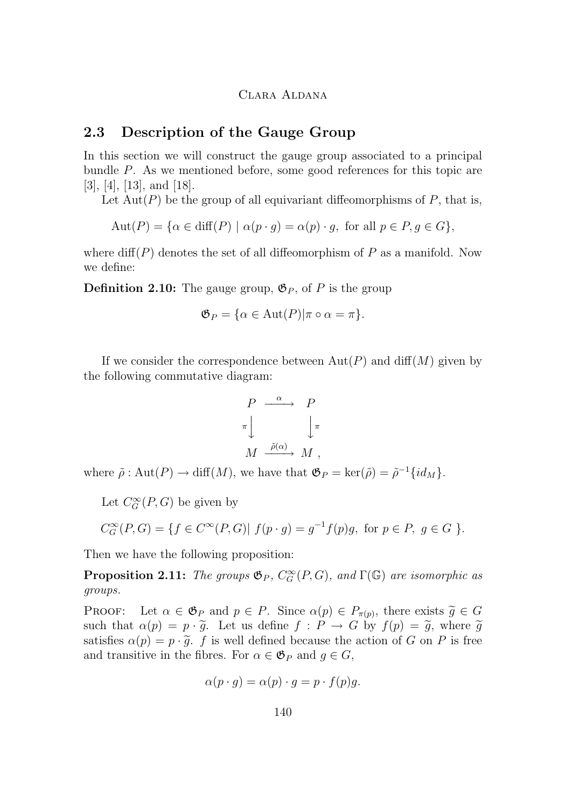## <span id="page-10-0"></span>**2.3 Description of the Gauge Group**

In this section we will construct the gauge group associated to a principal bundle P. As we mentioned before, some good references for this topic are [\[3\]](#page-21-0), [\[4\]](#page-21-0), [\[13\]](#page-21-0), and [\[18\]](#page-22-0).

Let  $Aut(P)$  be the group of all equivariant diffeomorphisms of P, that is,

$$
Aut(P) = \{ \alpha \in diff(P) \mid \alpha(p \cdot g) = \alpha(p) \cdot g, \text{ for all } p \in P, g \in G \},
$$

where  $\text{diff}(P)$  denotes the set of all diffeomorphism of P as a manifold. Now we define:

**Definition 2.10:** The gauge group,  $\mathfrak{G}_P$ , of P is the group

$$
\mathfrak{G}_P = \{ \alpha \in \text{Aut}(P) | \pi \circ \alpha = \pi \}.
$$

If we consider the correspondence between  $Aut(P)$  and  $diff(M)$  given by the following commutative diagram:

$$
\begin{array}{ccc}\nP & \xrightarrow{\alpha} & P \\
\pi & & \downarrow{\pi} \\
M & \xrightarrow{\tilde{\rho}(\alpha)} & M\n\end{array}
$$

where  $\tilde{\rho}$ : Aut $(P) \to \text{diff}(M)$ , we have that  $\mathfrak{G}_P = \text{ker}(\tilde{\rho}) = \tilde{\rho}^{-1} \{id_M\}.$ 

Let  $C_G^{\infty}(P, G)$  be given by

$$
C_G^{\infty}(P,G) = \{ f \in C^{\infty}(P,G) | f(p \cdot g) = g^{-1}f(p)g, \text{ for } p \in P, g \in G \}.
$$

Then we have the following proposition:

**Proposition 2.11:** *The groups*  $\mathfrak{G}_P$ *,*  $C_G^{\infty}(P, G)$ *, and*  $\Gamma(\mathbb{G})$  *are isomorphic as groups.*

**PROOF:** Let  $\alpha \in \mathfrak{G}_P$  and  $p \in P$ . Since  $\alpha(p) \in P_{\pi(p)}$ , there exists  $\widetilde{g} \in G$ <br>such that  $\alpha(p) = p_1 \widetilde{g}$ . Let us define  $f : P \to G$  by  $f(p) = \widetilde{g}$ , where  $\widetilde{g}$ such that  $\alpha(p) = p \cdot \tilde{g}$ . Let us define  $f : P \to G$  by  $f(p) = \tilde{g}$ , where  $\tilde{g}$ satisfies  $\alpha(p) = p \cdot \tilde{g}$ . f is well defined because the action of G on P is free and transitive in the fibres. For  $\alpha \in \mathfrak{G}_P$  and  $g \in G$ ,

$$
\alpha(p \cdot g) = \alpha(p) \cdot g = p \cdot f(p)g.
$$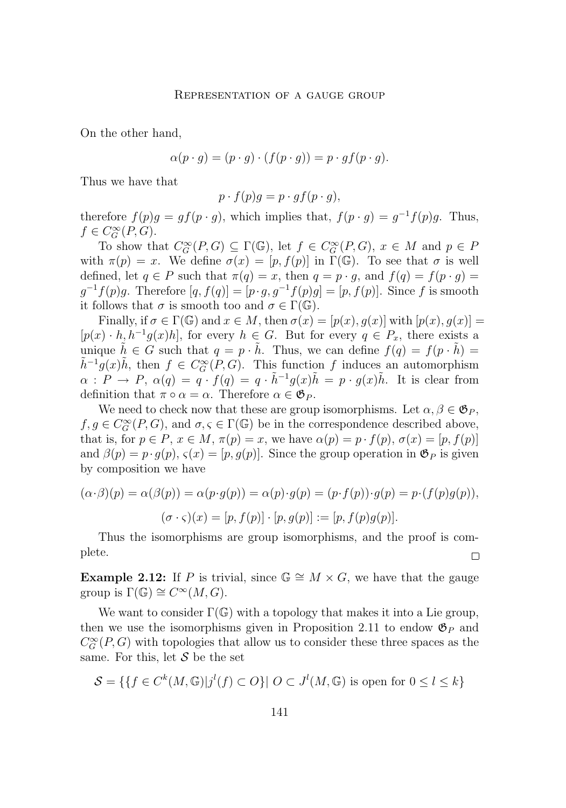On the other hand,

$$
\alpha(p \cdot g) = (p \cdot g) \cdot (f(p \cdot g)) = p \cdot gf(p \cdot g).
$$

Thus we have that

$$
p \cdot f(p)g = p \cdot gf(p \cdot g),
$$

therefore  $f(p)g = gf(p \cdot g)$ , which implies that,  $f(p \cdot g) = g^{-1}f(p)g$ . Thus,  $f \in C_G^{\infty}(P, G)$ .

To show that  $C_G^{\infty}(P, G) \subseteq \Gamma(\mathbb{G})$ , let  $f \in C_G^{\infty}(P, G)$ ,  $x \in M$  and  $p \in P$ with  $\pi(p) = x$ . We define  $\sigma(x) = [p, f(p)]$  in  $\Gamma(\mathbb{G})$ . To see that  $\sigma$  is well defined, let  $q \in P$  such that  $\pi(q) = x$ , then  $q = p \cdot q$ , and  $f(q) = f(p \cdot q)$  $g^{-1}f(p)g$ . Therefore  $[q, f(q)] = [p \cdot g, g^{-1}f(p)g] = [p, f(p)]$ . Since f is smooth it follows that  $\sigma$  is smooth too and  $\sigma \in \Gamma(\mathbb{G})$ .

Finally, if  $\sigma \in \Gamma(\mathbb{G})$  and  $x \in M$ , then  $\sigma(x) = [p(x), q(x)]$  with  $[p(x), q(x)] =$  $[p(x) \cdot h, h^{-1}g(x)h]$ , for every  $h \in G$ . But for every  $q \in P_x$ , there exists a unique  $\tilde{h} \in G$  such that  $q = p \cdot \tilde{h}$ . Thus, we can define  $f(q) = f(p \cdot \tilde{h})$  $\tilde{h}^{-1}g(x)\tilde{h}$ , then  $f \in C_G^{\infty}(P, G)$ . This function f induces an automorphism  $\alpha$ :  $P \to P$ ,  $\alpha(q) = q \cdot f(q) = q \cdot \tilde{h}^{-1} g(x) \tilde{h} = p \cdot g(x) \tilde{h}$ . It is clear from definition that  $\pi \circ \alpha = \alpha$ . Therefore  $\alpha \in \mathfrak{G}_P$ .

We need to check now that these are group isomorphisms. Let  $\alpha, \beta \in \mathfrak{G}_P$ ,  $f, g \in C_G^{\infty}(P, G)$ , and  $\sigma, \varsigma \in \Gamma(\mathbb{G})$  be in the correspondence described above, that is, for  $p \in P$ ,  $x \in M$ ,  $\pi(p) = x$ , we have  $\alpha(p) = p \cdot f(p)$ ,  $\sigma(x) = [p, f(p)]$ and  $\beta(p) = p \cdot g(p)$ ,  $\varsigma(x) = [p, g(p)]$ . Since the group operation in  $\mathfrak{G}_P$  is given by composition we have

$$
(\alpha \cdot \beta)(p) = \alpha(\beta(p)) = \alpha(p \cdot g(p)) = \alpha(p) \cdot g(p) = (p \cdot f(p)) \cdot g(p) = p \cdot (f(p)g(p)),
$$

$$
(\sigma \cdot \varsigma)(x) = [p, f(p)] \cdot [p, g(p)] := [p, f(p)g(p)].
$$

Thus the isomorphisms are group isomorphisms, and the proof is complete.  $\Box$ 

**Example 2.12:** If P is trivial, since  $\mathbb{G} \cong M \times G$ , we have that the gauge group is  $\Gamma(\mathbb{G}) \cong C^{\infty}(M, G)$ .

We want to consider  $\Gamma(\mathbb{G})$  with a topology that makes it into a Lie group, then we use the isomorphisms given in Proposition [2.11](#page-10-0) to endow  $\mathfrak{G}_P$  and  $C_G^{\infty}(P, G)$  with topologies that allow us to consider these three spaces as the same. For this, let  $\mathcal S$  be the set

$$
\mathcal{S} = \{ \{ f \in C^k(M, \mathbb{G}) | j^l(f) \subset O \} | O \subset J^l(M, \mathbb{G}) \text{ is open for } 0 \le l \le k \}
$$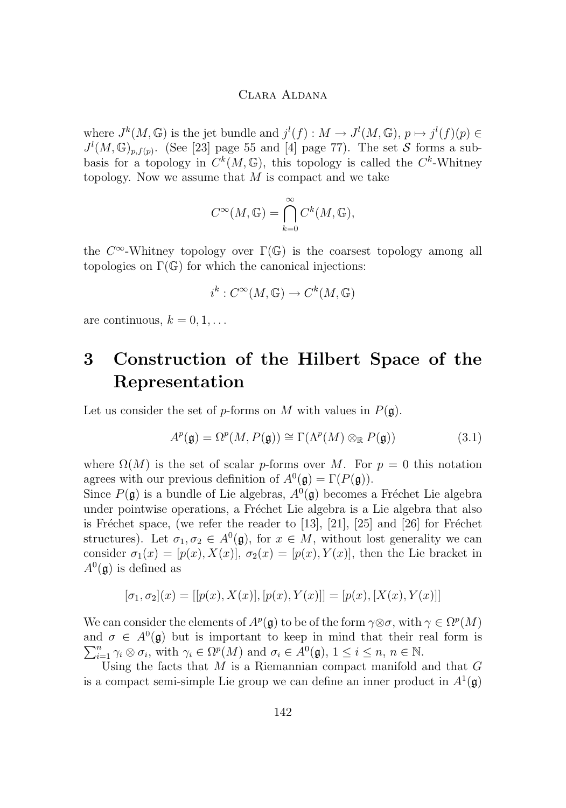where  $J^k(M, \mathbb{G})$  is the jet bundle and  $j^l(f) : M \to J^l(M, \mathbb{G}), p \mapsto j^l(f)(p) \in$  $J^l(M,\mathbb{G})_{p,f(p)}$ . (See [\[23\]](#page-22-0) page 55 and [\[4\]](#page-21-0) page 77). The set S forms a subbasis for a topology in  $C^k(M,\mathbb{G})$ , this topology is called the  $C^k$ -Whitney topology. Now we assume that  $M$  is compact and we take

$$
C^{\infty}(M,\mathbb{G})=\bigcap_{k=0}^{\infty}C^k(M,\mathbb{G}),
$$

the  $C^{\infty}$ -Whitney topology over  $\Gamma(\mathbb{G})$  is the coarsest topology among all topologies on  $\Gamma(\mathbb{G})$  for which the canonical injections:

$$
i^k: C^\infty(M, \mathbb{G}) \to C^k(M, \mathbb{G})
$$

are continuous,  $k = 0, 1, \ldots$ 

# **3 Construction of the Hilbert Space of the Representation**

Let us consider the set of p-forms on M with values in  $P(\mathfrak{g})$ .

$$
A^p(\mathfrak{g}) = \Omega^p(M, P(\mathfrak{g})) \cong \Gamma(\Lambda^p(M) \otimes_{\mathbb{R}} P(\mathfrak{g}))
$$
\n(3.1)

where  $\Omega(M)$  is the set of scalar p-forms over M. For  $p = 0$  this notation agrees with our previous definition of  $A^0(\mathfrak{g}) = \Gamma(P(\mathfrak{g}))$ .

Since  $P(\mathfrak{g})$  is a bundle of Lie algebras,  $A^0(\mathfrak{g})$  becomes a Fréchet Lie algebra under pointwise operations, a Fréchet Lie algebra is a Lie algebra that also is Fréchet space, (we refer the reader to [\[13\]](#page-21-0), [\[21\]](#page-22-0), [\[25\]](#page-22-0) and [\[26\]](#page-22-0) for Fréchet structures). Let  $\sigma_1, \sigma_2 \in A^0(\mathfrak{g})$ , for  $x \in M$ , without lost generality we can consider  $\sigma_1(x) = [p(x), X(x)]$ ,  $\sigma_2(x) = [p(x), Y(x)]$ , then the Lie bracket in  $A^0(\mathfrak{g})$  is defined as

$$
[\sigma_1, \sigma_2](x) = [[p(x), X(x)], [p(x), Y(x)]] = [p(x), [X(x), Y(x)]]
$$

We can consider the elements of  $A^p(\mathfrak{g})$  to be of the form  $\gamma \otimes \sigma$ , with  $\gamma \in \Omega^p(M)$ and  $\sigma \in A^0(\mathfrak{g})$  but is important to keep in mind that their real form is  $\sum_{i=1}^{n} \gamma_i \otimes \sigma_i$ , with  $\gamma_i \in \Omega^p(M)$  and  $\sigma_i \in A^0(\mathfrak{g}), 1 \leq i \leq n, n \in \mathbb{N}$ .

Using the facts that  $M$  is a Riemannian compact manifold and that  $G$ is a compact semi-simple Lie group we can define an inner product in  $A^1(\mathfrak{g})$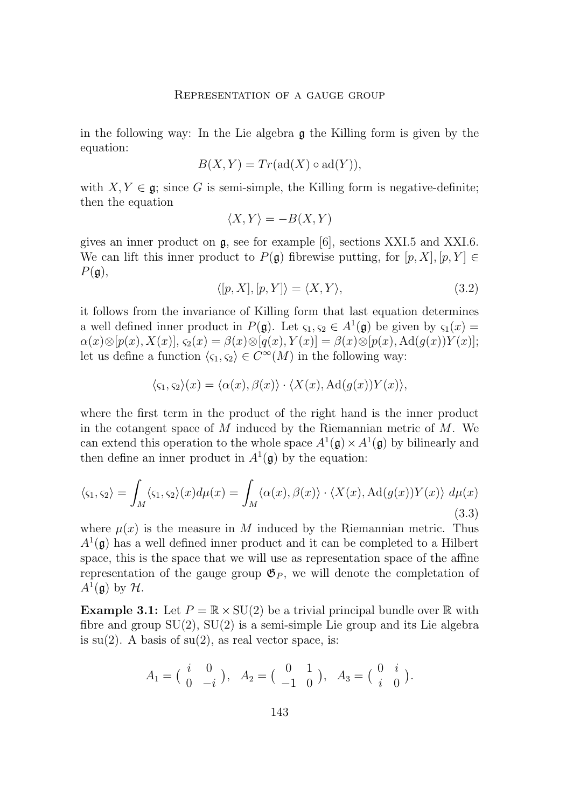<span id="page-13-0"></span>in the following way: In the Lie algebra g the Killing form is given by the equation:

$$
B(X,Y) = Tr(\text{ad}(X) \circ \text{ad}(Y)),
$$

with  $X, Y \in \mathfrak{g}$ ; since G is semi-simple, the Killing form is negative-definite; then the equation

$$
\langle X, Y \rangle = -B(X, Y)
$$

gives an inner product on g, see for example [\[6\]](#page-21-0), sections XXI.5 and XXI.6. We can lift this inner product to  $P(\mathfrak{g})$  fibrewise putting, for  $[p, X], [p, Y] \in$  $P(\mathfrak{g}),$ 

$$
\langle [p, X], [p, Y] \rangle = \langle X, Y \rangle,\tag{3.2}
$$

it follows from the invariance of Killing form that last equation determines a well defined inner product in  $P(\mathfrak{g})$ . Let  $\varsigma_1, \varsigma_2 \in A^1(\mathfrak{g})$  be given by  $\varsigma_1(x) =$  $\alpha(x)\otimes[p(x),X(x)],\varsigma_2(x)=\beta(x)\otimes[q(x),Y(x)]=\beta(x)\otimes[p(x),\mathrm{Ad}(g(x))Y(x)];$ let us define a function  $\langle \varsigma_1, \varsigma_2 \rangle \in C^{\infty}(M)$  in the following way:

$$
\langle \varsigma_1, \varsigma_2 \rangle(x) = \langle \alpha(x), \beta(x) \rangle \cdot \langle X(x), \mathrm{Ad}(g(x))Y(x) \rangle,
$$

where the first term in the product of the right hand is the inner product in the cotangent space of  $M$  induced by the Riemannian metric of  $M$ . We can extend this operation to the whole space  $A^1(\mathfrak{g}) \times A^1(\mathfrak{g})$  by bilinearly and then define an inner product in  $A^1(\mathfrak{g})$  by the equation:

$$
\langle \varsigma_1, \varsigma_2 \rangle = \int_M \langle \varsigma_1, \varsigma_2 \rangle(x) d\mu(x) = \int_M \langle \alpha(x), \beta(x) \rangle \cdot \langle X(x), \mathrm{Ad}(g(x)) Y(x) \rangle \ d\mu(x) \tag{3.3}
$$

where  $\mu(x)$  is the measure in M induced by the Riemannian metric. Thus  $A^1(\mathfrak{g})$  has a well defined inner product and it can be completed to a Hilbert space, this is the space that we will use as representation space of the affine representation of the gauge group  $\mathfrak{G}_P$ , we will denote the completation of  $A^1(\mathfrak{g})$  by  $\mathcal{H}$ .

**Example 3.1:** Let  $P = \mathbb{R} \times SU(2)$  be a trivial principal bundle over  $\mathbb{R}$  with fibre and group  $SU(2)$ ,  $SU(2)$  is a semi-simple Lie group and its Lie algebra is  $su(2)$ . A basis of  $su(2)$ , as real vector space, is:

$$
A_1 = \begin{pmatrix} i & 0 \\ 0 & -i \end{pmatrix}, A_2 = \begin{pmatrix} 0 & 1 \\ -1 & 0 \end{pmatrix}, A_3 = \begin{pmatrix} 0 & i \\ i & 0 \end{pmatrix}.
$$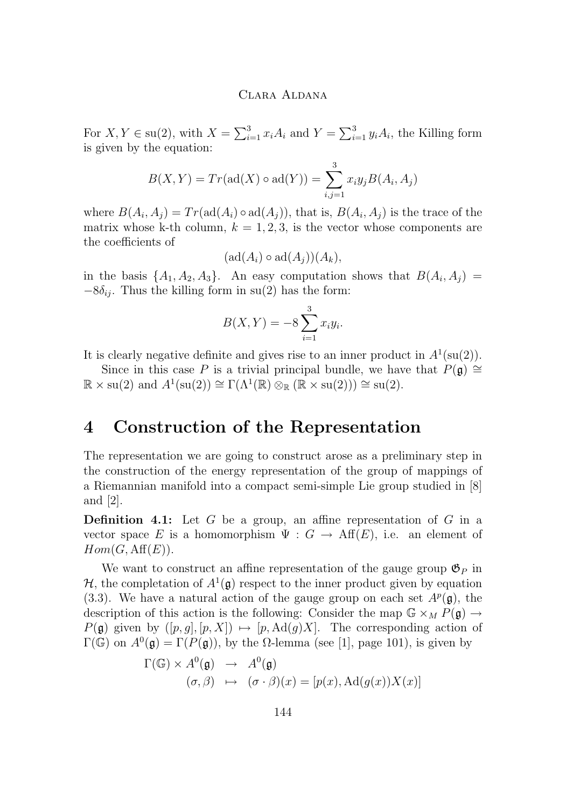For  $X, Y \in \text{su}(2)$ , with  $X = \sum_{i=1}^{3} x_i A_i$  and  $Y = \sum_{i=1}^{3} y_i A_i$ , the Killing form is given by the equation:

$$
B(X, Y) = Tr(\text{ad}(X) \circ \text{ad}(Y)) = \sum_{i,j=1}^{3} x_i y_j B(A_i, A_j)
$$

where  $B(A_i, A_j) = Tr(\text{ad}(A_i) \circ \text{ad}(A_j))$ , that is,  $B(A_i, A_j)$  is the trace of the matrix whose k-th column,  $k = 1, 2, 3$ , is the vector whose components are the coefficients of

$$
(\mathrm{ad}(A_i)\circ \mathrm{ad}(A_j))(A_k),
$$

in the basis  $\{A_1, A_2, A_3\}$ . An easy computation shows that  $B(A_i, A_j)$  $-8\delta_{ij}$ . Thus the killing form in su(2) has the form:

$$
B(X,Y) = -8 \sum_{i=1}^{3} x_i y_i.
$$

It is clearly negative definite and gives rise to an inner product in  $A^1(\text{su}(2))$ .

Since in this case P is a trivial principal bundle, we have that  $P(\mathfrak{g}) \cong$  $\mathbb{R} \times \text{su}(2)$  and  $A^1(\text{su}(2)) \cong \Gamma(\Lambda^1(\mathbb{R}) \otimes_{\mathbb{R}} (\mathbb{R} \times \text{su}(2))) \cong \text{su}(2)$ .

# **4 Construction of the Representation**

The representation we are going to construct arose as a preliminary step in the construction of the energy representation of the group of mappings of a Riemannian manifold into a compact semi-simple Lie group studied in [\[8\]](#page-21-0) and [\[2\]](#page-21-0).

**Definition 4.1:** Let G be a group, an affine representation of G in a vector space E is a homomorphism  $\Psi : G \to Aff(E)$ , i.e. an element of  $Hom(G, \text{Aff}(E)).$ 

We want to construct an affine representation of the gauge group  $\mathfrak{G}_P$  in  $H$ , the completation of  $A^1(\mathfrak{g})$  respect to the inner product given by equation [\(3.3\)](#page-13-0). We have a natural action of the gauge group on each set  $A^p(\mathfrak{g})$ , the description of this action is the following: Consider the map  $\mathbb{G} \times_M P(\mathfrak{g}) \to$  $P(\mathfrak{g})$  given by  $([p, g], [p, X]) \mapsto [p, \text{Ad}(g)X]$ . The corresponding action of  $\Gamma(\mathbb{G})$  on  $A^0(\mathfrak{g}) = \Gamma(P(\mathfrak{g}))$ , by the  $\Omega$ -lemma (see [\[1\]](#page-20-0), page 101), is given by

$$
\Gamma(\mathbb{G}) \times A^0(\mathfrak{g}) \rightarrow A^0(\mathfrak{g})
$$
  

$$
(\sigma, \beta) \rightarrow (\sigma \cdot \beta)(x) = [p(x), \text{Ad}(g(x))X(x)]
$$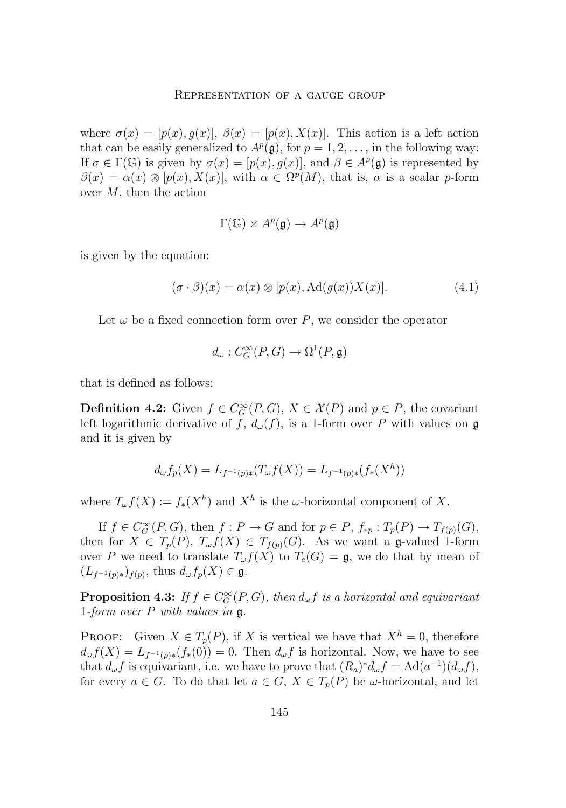#### Representation of a gauge group

where  $\sigma(x) = [p(x), g(x)]$ ,  $\beta(x) = [p(x), X(x)]$ . This action is a left action that can be easily generalized to  $A^p(\mathfrak{g})$ , for  $p = 1, 2, \ldots$ , in the following way: If  $\sigma \in \Gamma(\mathbb{G})$  is given by  $\sigma(x) = [p(x), g(x)]$ , and  $\beta \in A^p(\mathfrak{g})$  is represented by  $\beta(x) = \alpha(x) \otimes [p(x), X(x)],$  with  $\alpha \in \Omega^p(M)$ , that is,  $\alpha$  is a scalar p-form over M, then the action

$$
\Gamma(\mathbb{G}) \times A^p(\mathfrak{g}) \to A^p(\mathfrak{g})
$$

is given by the equation:

$$
(\sigma \cdot \beta)(x) = \alpha(x) \otimes [p(x), \text{Ad}(g(x))X(x)]. \tag{4.1}
$$

Let  $\omega$  be a fixed connection form over P, we consider the operator

$$
d_{\omega}: C_G^{\infty}(P, G) \to \Omega^1(P, \mathfrak{g})
$$

that is defined as follows:

**Definition 4.2:** Given  $f \in C_G^{\infty}(P, G)$ ,  $X \in \mathcal{X}(P)$  and  $p \in P$ , the covariant left logarithmic derivative of f,  $d_{\omega}(f)$ , is a 1-form over P with values on g and it is given by

$$
d_{\omega}f_p(X) = L_{f^{-1}(p)*}(T_{\omega}f(X)) = L_{f^{-1}(p)*}(f_*(X^h))
$$

where  $T_{\omega}f(X) := f_*(X^h)$  and  $X^h$  is the  $\omega$ -horizontal component of X.

If  $f \in C_G^{\infty}(P, G)$ , then  $f : P \to G$  and for  $p \in P$ ,  $f_{\ast p} : T_p(P) \to T_{f(p)}(G)$ , then for  $X \in T_p(P)$ ,  $T_{\omega}f(X) \in T_{f(p)}(G)$ . As we want a g-valued 1-form over P we need to translate  $T_{\omega} f(X)$  to  $T_e(G) = \mathfrak{g}$ , we do that by mean of  $(L_{f^{-1}(p)*})_{f(p)},$  thus  $d_{\omega} f_p(X) \in \mathfrak{g}.$ 

**Proposition 4.3:** *If*  $f \in C_G^{\infty}(P, G)$ *, then*  $d_{\omega} f$  *is a horizontal and equivariant* 1*-form over* P *with values in* g*.*

PROOF: Given  $X \in T_p(P)$ , if X is vertical we have that  $X^h = 0$ , therefore  $d_{\omega}f(X) = L_{f^{-1}(p)*}(f_*(0)) = 0$ . Then  $d_{\omega}f$  is horizontal. Now, we have to see that  $d_{\omega} f$  is equivariant, i.e. we have to prove that  $(R_a)^* d_{\omega} f = \text{Ad}(a^{-1})(d_{\omega} f)$ , for every  $a \in G$ . To do that let  $a \in G$ ,  $X \in T_p(P)$  be  $\omega$ -horizontal, and let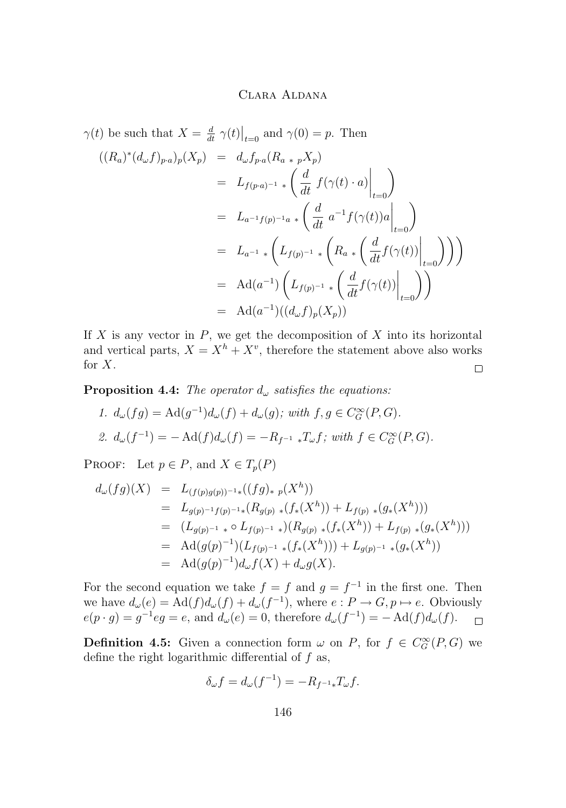$$
\gamma(t) \text{ be such that } X = \frac{d}{dt} \gamma(t)|_{t=0} \text{ and } \gamma(0) = p. \text{ Then}
$$
  
\n
$$
((R_a)^*(d_{\omega}f)_{p\cdot a})_p(X_p) = d_{\omega}f_{p\cdot a}(R_{a*p}X_p)
$$
  
\n
$$
= L_{f(p\cdot a)^{-1} *}\left(\frac{d}{dt} f(\gamma(t) \cdot a)|_{t=0}\right)
$$
  
\n
$$
= L_{a^{-1}f(p)^{-1}a}*\left(\frac{d}{dt} a^{-1} f(\gamma(t))a|_{t=0}\right)
$$
  
\n
$$
= L_{a^{-1} *}\left(L_{f(p)^{-1} *} \left(R_{a} * \left(\frac{d}{dt} f(\gamma(t))|_{t=0}\right)\right)\right)
$$
  
\n
$$
= \text{Ad}(a^{-1})\left(L_{f(p)^{-1} *} \left(\frac{d}{dt} f(\gamma(t))|_{t=0}\right)\right)
$$
  
\n
$$
= \text{Ad}(a^{-1})((d_{\omega}f)_p(X_p))
$$

If  $X$  is any vector in  $P$ , we get the decomposition of  $X$  into its horizontal and vertical parts,  $X = X^h + X^v$ , therefore the statement above also works for X.  $\Box$ 

**Proposition 4.4:** *The operator*  $d_{\omega}$  *satisfies the equations:* 

1. 
$$
d_{\omega}(fg) = \text{Ad}(g^{-1})d_{\omega}(f) + d_{\omega}(g); \text{ with } f, g \in C_G^{\infty}(P, G).
$$
  
2. 
$$
d_{\omega}(f^{-1}) = -\text{Ad}(f)d_{\omega}(f) = -R_{f^{-1}} *T_{\omega}f; \text{ with } f \in C_G^{\infty}(P, G).
$$

PROOF: Let  $p \in P$ , and  $X \in T_p(P)$ 

$$
d_{\omega}(fg)(X) = L_{(f(p)g(p))^{-1}}((fg)_{* p}(X^{h}))
$$
  
\n
$$
= L_{g(p)^{-1}f(p)^{-1}}(R_{g(p)} * (f_{*}(X^{h})) + L_{f(p)} * (g_{*}(X^{h})))
$$
  
\n
$$
= (L_{g(p)^{-1}} * \circ L_{f(p)^{-1}}*)(R_{g(p)} * (f_{*}(X^{h})) + L_{f(p)} * (g_{*}(X^{h})))
$$
  
\n
$$
= \text{Ad}(g(p)^{-1})(L_{f(p)^{-1}} * (f_{*}(X^{h}))) + L_{g(p)^{-1}} * (g_{*}(X^{h}))
$$
  
\n
$$
= \text{Ad}(g(p)^{-1})d_{\omega}f(X) + d_{\omega}g(X).
$$

For the second equation we take  $f = f$  and  $g = f^{-1}$  in the first one. Then we have  $d_{\omega}(e) = \text{Ad}(f)d_{\omega}(f) + d_{\omega}(f^{-1}),$  where  $e: P \to G, p \mapsto e$ . Obviously  $e(p \cdot g) = g^{-1}eg = e$ , and  $d_{\omega}(e) = 0$ , therefore  $d_{\omega}(f^{-1}) = -\operatorname{Ad}(f)d_{\omega}(f)$ .  $\Box$ 

**Definition 4.5:** Given a connection form  $\omega$  on P, for  $f \in C_G^{\infty}(P, G)$  we define the right logarithmic differential of  $f$  as,

$$
\delta_{\omega}f = d_{\omega}(f^{-1}) = -R_{f^{-1}*}T_{\omega}f.
$$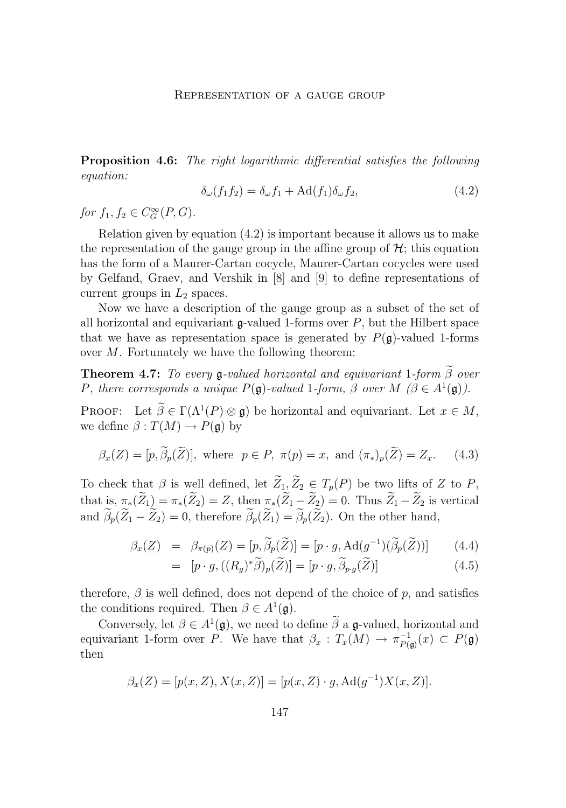<span id="page-17-0"></span>**Proposition 4.6:** *The right logarithmic differential satisfies the following equation:*

$$
\delta_{\omega}(f_1 f_2) = \delta_{\omega} f_1 + \text{Ad}(f_1) \delta_{\omega} f_2,\tag{4.2}
$$

*for*  $f_1, f_2 \in C_G^{\infty}(P, G)$ *.* 

Relation given by equation (4.2) is important because it allows us to make the representation of the gauge group in the affine group of  $\mathcal{H}$ ; this equation has the form of a Maurer-Cartan cocycle, Maurer-Cartan cocycles were used by Gelfand, Graev, and Vershik in [\[8\]](#page-21-0) and [\[9\]](#page-21-0) to define representations of current groups in  $L_2$  spaces.

Now we have a description of the gauge group as a subset of the set of all horizontal and equivariant  $\mathfrak{g}\text{-valued}$  1-forms over  $P$ , but the Hilbert space that we have as representation space is generated by  $P(\mathfrak{g})$ -valued 1-forms over M. Fortunately we have the following theorem:

**Theorem 4.7:** *To every*  $\mathfrak{g}\text{-valued }$  *horizontal and equivariant* 1-form  $\widetilde{\beta}$  *over P*, there corresponds a unique  $P(\mathfrak{g})$ -valued 1-form,  $\beta$  over  $M$  ( $\beta \in A^1(\mathfrak{g})$ ).

**PROOF:** Let  $\widetilde{\beta} \in \Gamma(\Lambda^1(P) \otimes \mathfrak{g})$  be horizontal and equivariant. Let  $x \in M$ , we define  $\beta: T(M) \to P(\mathfrak{g})$  by

$$
\beta_x(Z) = [p, \widetilde{\beta}_p(\widetilde{Z})], \text{ where } p \in P, \ \pi(p) = x, \text{ and } (\pi_*)_p(\widetilde{Z}) = Z_x. \tag{4.3}
$$

To check that  $\beta$  is well defined, let  $\widetilde{Z}_1, \widetilde{Z}_2 \in T_p(P)$  be two lifts of Z to P, that is,  $\pi_*(Z_1) = \pi_*(Z_2) = Z$ , then  $\pi_*(Z_1 - Z_2) = 0$ . Thus  $Z_1 - Z_2$  is vertical and  $\beta_p(\bar{Z}_1 - \bar{Z}_2) = 0$ , therefore  $\beta_p(\bar{Z}_1) = \beta_p(\bar{Z}_2)$ . On the other hand,

$$
\beta_x(Z) = \beta_{\pi(p)}(Z) = [p, \widetilde{\beta}_p(\widetilde{Z})] = [p \cdot g, \operatorname{Ad}(g^{-1})(\widetilde{\beta}_p(\widetilde{Z}))]
$$
(4.4)

$$
= [p \cdot g, ((R_g)^{*}\widetilde{\beta})_p(\widetilde{Z})] = [p \cdot g, \widetilde{\beta}_{p \cdot g}(\widetilde{Z})]
$$
(4.5)

therefore,  $\beta$  is well defined, does not depend of the choice of p, and satisfies the conditions required. Then  $\beta \in A^1(\mathfrak{g})$ .

Conversely, let  $\beta \in A^1(\mathfrak{g})$ , we need to define  $\beta$  a g-valued, horizontal and equivariant 1-form over P. We have that  $\beta_x : T_x(M) \to \pi_{P(\mathfrak{g})}^{-1}(x) \subset P(\mathfrak{g})$ then

$$
\beta_x(Z) = [p(x, Z), X(x, Z)] = [p(x, Z) \cdot g, \text{Ad}(g^{-1})X(x, Z)].
$$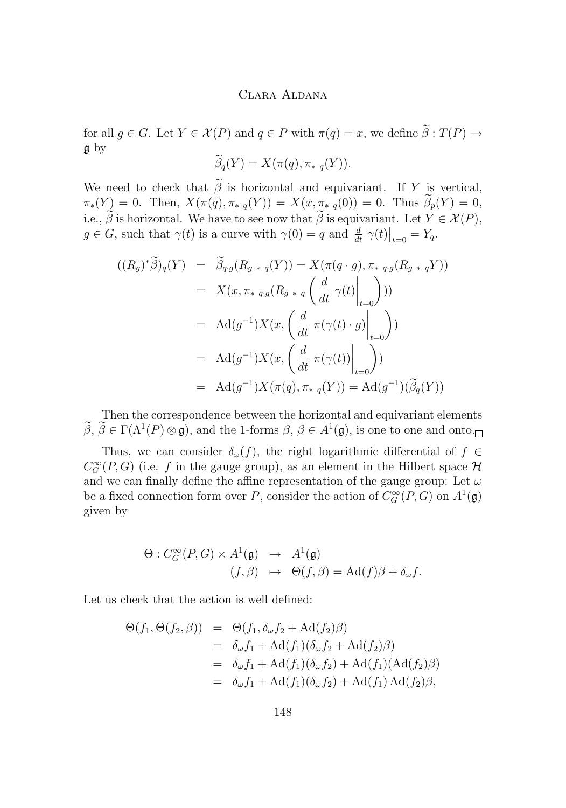for all  $g \in G$ . Let  $Y \in \mathcal{X}(P)$  and  $q \in P$  with  $\pi(q) = x$ , we define  $\widetilde{\beta}: T(P) \to$ g by

$$
\widetilde{\beta}_q(Y) = X(\pi(q), \pi_{* q}(Y)).
$$

We need to check that  $\tilde{\beta}$  is horizontal and equivariant. If Y is vertical,  $\pi_*(Y) = 0$ . Then,  $X(\pi(q), \pi_*_{q}(Y)) = X(x, \pi_{*}(q(0))) = 0$ . Thus  $\widetilde{\beta}_p(Y) = 0$ , i.e.,  $\tilde{\beta}$  is horizontal. We have to see now that  $\tilde{\beta}$  is equivariant. Let  $Y \in \mathcal{X}(P)$ ,  $g \in G$ , such that  $\gamma(t)$  is a curve with  $\gamma(0) = q$  and  $\frac{d}{dt} \gamma(t)|_{t=0} = Y_q$ .

$$
((R_g)^*\widetilde{\beta})_q(Y) = \widetilde{\beta}_{q \cdot g}(R_{g+q}(Y)) = X(\pi(q \cdot g), \pi_{* q \cdot g}(R_{g+q}Y))
$$
  
\n
$$
= X(x, \pi_{* q \cdot g}(R_{g+q}\left(\frac{d}{dt}\gamma(t)\Big|_{t=0}\right)))
$$
  
\n
$$
= \operatorname{Ad}(g^{-1})X(x, \left(\frac{d}{dt}\pi(\gamma(t) \cdot g)\Big|_{t=0}\right))
$$
  
\n
$$
= \operatorname{Ad}(g^{-1})X(x, \left(\frac{d}{dt}\pi(\gamma(t))\Big|_{t=0}\right))
$$
  
\n
$$
= \operatorname{Ad}(g^{-1})X(\pi(q), \pi_{* q}(Y)) = \operatorname{Ad}(g^{-1})(\widetilde{\beta}_q(Y))
$$

Then the correspondence between the horizontal and equivariant elements  $\beta, \beta \in \Gamma(\Lambda^1(P) \otimes \mathfrak{g})$ , and the 1-forms  $\beta, \beta \in A^1(\mathfrak{g})$ , is one to one and onto.

Thus, we can consider  $\delta_{\omega}(f)$ , the right logarithmic differential of  $f \in$  $C_G^{\infty}(P,G)$  (i.e. f in the gauge group), as an element in the Hilbert space  $\mathcal H$ and we can finally define the affine representation of the gauge group: Let  $\omega$ be a fixed connection form over P, consider the action of  $C_G^{\infty}(P, G)$  on  $A^1(\mathfrak{g})$ given by

$$
\Theta: C_G^{\infty}(P, G) \times A^1(\mathfrak{g}) \rightarrow A^1(\mathfrak{g})
$$
  

$$
(f, \beta) \rightarrow \Theta(f, \beta) = \mathrm{Ad}(f)\beta + \delta_{\omega}f.
$$

Let us check that the action is well defined:

$$
\Theta(f_1, \Theta(f_2, \beta)) = \Theta(f_1, \delta_{\omega} f_2 + \mathrm{Ad}(f_2)\beta)
$$
  
=  $\delta_{\omega} f_1 + \mathrm{Ad}(f_1)(\delta_{\omega} f_2 + \mathrm{Ad}(f_2)\beta)$   
=  $\delta_{\omega} f_1 + \mathrm{Ad}(f_1)(\delta_{\omega} f_2) + \mathrm{Ad}(f_1)(\mathrm{Ad}(f_2)\beta)$   
=  $\delta_{\omega} f_1 + \mathrm{Ad}(f_1)(\delta_{\omega} f_2) + \mathrm{Ad}(f_1) \mathrm{Ad}(f_2)\beta,$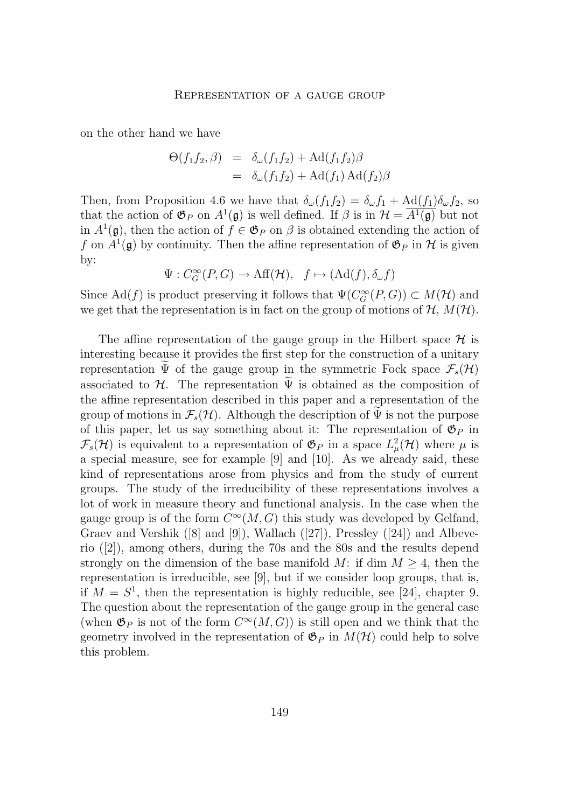on the other hand we have

$$
\Theta(f_1 f_2, \beta) = \delta_{\omega}(f_1 f_2) + \mathrm{Ad}(f_1 f_2) \beta
$$
  
=  $\delta_{\omega}(f_1 f_2) + \mathrm{Ad}(f_1) \mathrm{Ad}(f_2) \beta$ 

Then, from Proposition [4.6](#page-17-0) we have that  $\delta_{\omega}(f_1f_2) = \delta_{\omega}f_1 + \text{Ad}(f_1)\delta_{\omega}f_2$ , so that the action of  $\mathfrak{G}_P$  on  $A^1(\mathfrak{g})$  is well defined. If  $\beta$  is in  $\mathcal{H} = \overline{A^1(\mathfrak{g})}$  but not in  $A^1(\mathfrak{g})$ , then the action of  $f \in \mathfrak{G}_P$  on  $\beta$  is obtained extending the action of f on  $A^1(\mathfrak{g})$  by continuity. Then the affine representation of  $\mathfrak{G}_P$  in H is given by:

$$
\Psi: C_G^{\infty}(P, G) \to \text{Aff}(\mathcal{H}), \quad f \mapsto (\text{Ad}(f), \delta_{\omega} f)
$$

Since  $\text{Ad}(f)$  is product preserving it follows that  $\Psi(C_G^{\infty}(P, G)) \subset M(\mathcal{H})$  and we get that the representation is in fact on the group of motions of  $H, M(H)$ .

The affine representation of the gauge group in the Hilbert space  $\mathcal H$  is interesting because it provides the first step for the construction of a unitary representation  $\Psi$  of the gauge group in the symmetric Fock space  $\mathcal{F}_s(\mathcal{H})$ associated to  $H$ . The representation  $\Psi$  is obtained as the composition of the affine representation described in this paper and a representation of the group of motions in  $\mathcal{F}_s(\mathcal{H})$ . Although the description of  $\Psi$  is not the purpose of this paper, let us say something about it: The representation of  $\mathfrak{G}_P$  in  $\mathcal{F}_s(\mathcal{H})$  is equivalent to a representation of  $\mathfrak{G}_P$  in a space  $L^2_{\mu}(\mathcal{H})$  where  $\mu$  is a special measure, see for example [\[9\]](#page-21-0) and [\[10\]](#page-21-0). As we already said, these kind of representations arose from physics and from the study of current groups. The study of the irreducibility of these representations involves a lot of work in measure theory and functional analysis. In the case when the gauge group is of the form  $C^{\infty}(M, G)$  this study was developed by Gelfand, Graev and Vershik  $([8] \text{ and } [9])$  $([8] \text{ and } [9])$  $([8] \text{ and } [9])$  $([8] \text{ and } [9])$  $([8] \text{ and } [9])$ , Wallach  $([27])$  $([27])$  $([27])$ , Pressley  $([24])$  $([24])$  $([24])$  and Albeverio ([\[2\]](#page-21-0)), among others, during the 70s and the 80s and the results depend strongly on the dimension of the base manifold M: if dim  $M \geq 4$ , then the representation is irreducible, see [\[9\]](#page-21-0), but if we consider loop groups, that is, if  $M = S<sup>1</sup>$ , then the representation is highly reducible, see [\[24\]](#page-22-0), chapter 9. The question about the representation of the gauge group in the general case (when  $\mathfrak{G}_P$  is not of the form  $C^{\infty}(M, G)$ ) is still open and we think that the geometry involved in the representation of  $\mathfrak{G}_P$  in  $M(\mathcal{H})$  could help to solve this problem.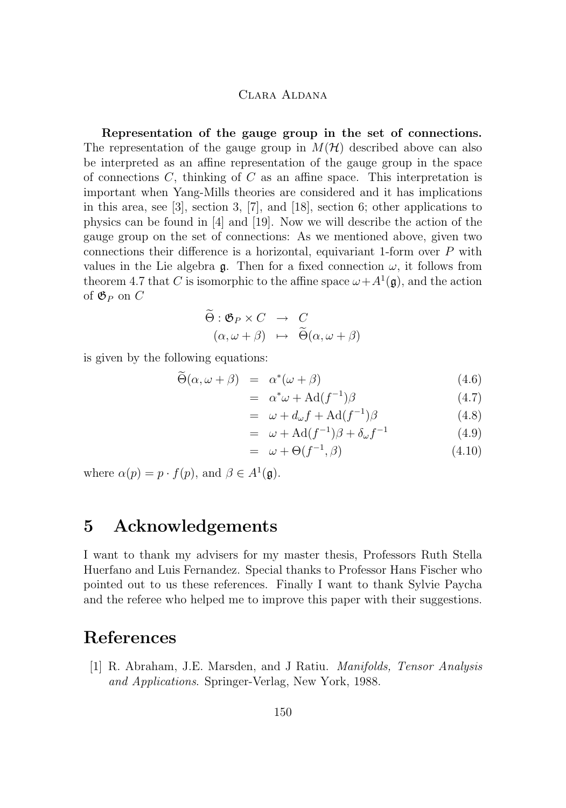<span id="page-20-0"></span>**Representation of the gauge group in the set of connections.** The representation of the gauge group in  $M(\mathcal{H})$  described above can also be interpreted as an affine representation of the gauge group in the space of connections  $C$ , thinking of  $C$  as an affine space. This interpretation is important when Yang-Mills theories are considered and it has implications in this area, see [\[3\]](#page-21-0), section 3, [\[7\]](#page-21-0), and [\[18\]](#page-22-0), section 6; other applications to physics can be found in [\[4\]](#page-21-0) and [\[19\]](#page-22-0). Now we will describe the action of the gauge group on the set of connections: As we mentioned above, given two connections their difference is a horizontal, equivariant 1-form over P with values in the Lie algebra  $\mathfrak{g}$ . Then for a fixed connection  $\omega$ , it follows from theorem [4.7](#page-17-0) that C is isomorphic to the affine space  $\omega + A^1(\mathfrak{g})$ , and the action of  $\mathfrak{G}_P$  on  $C$ 

$$
\widetilde{\Theta}: \mathfrak{G}_P \times C \rightarrow C \n(\alpha, \omega + \beta) \mapsto \widetilde{\Theta}(\alpha, \omega + \beta)
$$

is given by the following equations:

$$
\widetilde{\Theta}(\alpha,\omega+\beta) = \alpha^*(\omega+\beta) \tag{4.6}
$$

$$
= \alpha^* \omega + \text{Ad}(f^{-1})\beta \tag{4.7}
$$

$$
= \omega + d_{\omega} f + \text{Ad}(f^{-1})\beta \tag{4.8}
$$

$$
= \omega + \text{Ad}(f^{-1})\beta + \delta_{\omega}f^{-1} \tag{4.9}
$$

$$
= \omega + \Theta(f^{-1}, \beta) \tag{4.10}
$$

where  $\alpha(p) = p \cdot f(p)$ , and  $\beta \in A^1(\mathfrak{g})$ .

## **5 Acknowledgements**

I want to thank my advisers for my master thesis, Professors Ruth Stella Huerfano and Luis Fernandez. Special thanks to Professor Hans Fischer who pointed out to us these references. Finally I want to thank Sylvie Paycha and the referee who helped me to improve this paper with their suggestions.

## **References**

[1] R. Abraham, J.E. Marsden, and J Ratiu. *Manifolds, Tensor Analysis and Applications*. Springer-Verlag, New York, 1988.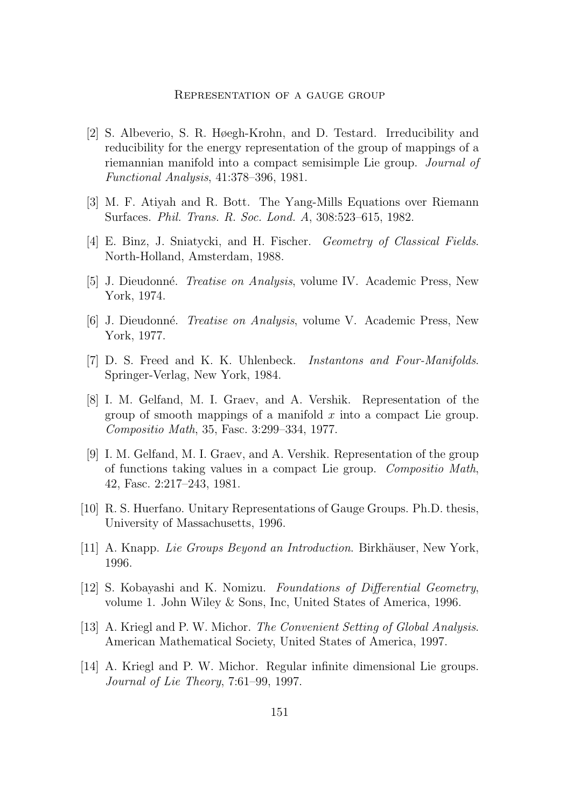#### Representation of a gauge group

- <span id="page-21-0"></span>[2] S. Albeverio, S. R. Høegh-Krohn, and D. Testard. Irreducibility and reducibility for the energy representation of the group of mappings of a riemannian manifold into a compact semisimple Lie group. *Journal of Functional Analysis*, 41:378–396, 1981.
- [3] M. F. Atiyah and R. Bott. The Yang-Mills Equations over Riemann Surfaces. *Phil. Trans. R. Soc. Lond. A*, 308:523–615, 1982.
- [4] E. Binz, J. Sniatycki, and H. Fischer. *Geometry of Classical Fields*. North-Holland, Amsterdam, 1988.
- [5] J. Dieudonné. *Treatise on Analysis*, volume IV. Academic Press, New York, 1974.
- [6] J. Dieudonné. *Treatise on Analysis*, volume V. Academic Press, New York, 1977.
- [7] D. S. Freed and K. K. Uhlenbeck. *Instantons and Four-Manifolds*. Springer-Verlag, New York, 1984.
- [8] I. M. Gelfand, M. I. Graev, and A. Vershik. Representation of the group of smooth mappings of a manifold  $x$  into a compact Lie group. *Compositio Math*, 35, Fasc. 3:299–334, 1977.
- [9] I. M. Gelfand, M. I. Graev, and A. Vershik. Representation of the group of functions taking values in a compact Lie group. *Compositio Math*, 42, Fasc. 2:217–243, 1981.
- [10] R. S. Huerfano. Unitary Representations of Gauge Groups. Ph.D. thesis, University of Massachusetts, 1996.
- [11] A. Knapp. *Lie Groups Beyond an Introduction*. Birkhäuser, New York, 1996.
- [12] S. Kobayashi and K. Nomizu. *Foundations of Differential Geometry*, volume 1. John Wiley & Sons, Inc, United States of America, 1996.
- [13] A. Kriegl and P. W. Michor. *The Convenient Setting of Global Analysis*. American Mathematical Society, United States of America, 1997.
- [14] A. Kriegl and P. W. Michor. Regular infinite dimensional Lie groups. *Journal of Lie Theory*, 7:61–99, 1997.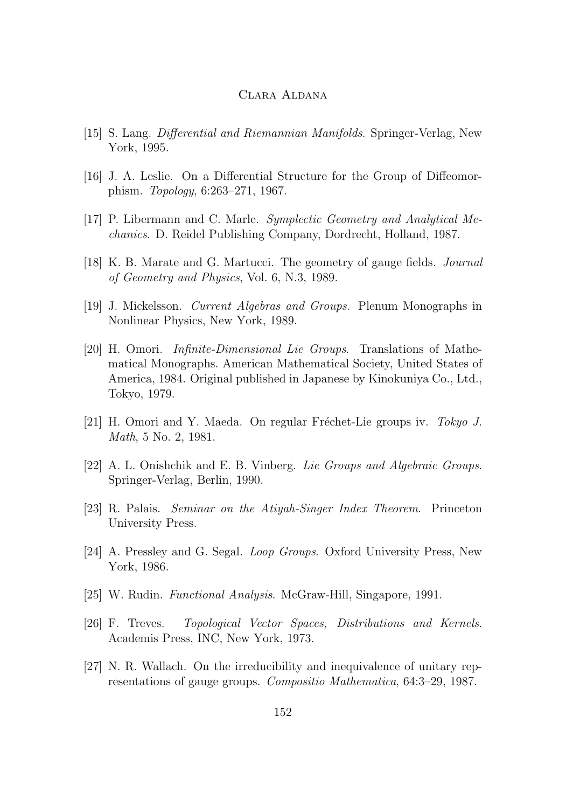- <span id="page-22-0"></span>[15] S. Lang. *Differential and Riemannian Manifolds*. Springer-Verlag, New York, 1995.
- [16] J. A. Leslie. On a Differential Structure for the Group of Diffeomorphism. *Topology*, 6:263–271, 1967.
- [17] P. Libermann and C. Marle. *Symplectic Geometry and Analytical Mechanics*. D. Reidel Publishing Company, Dordrecht, Holland, 1987.
- [18] K. B. Marate and G. Martucci. The geometry of gauge fields. *Journal of Geometry and Physics*, Vol. 6, N.3, 1989.
- [19] J. Mickelsson. *Current Algebras and Groups*. Plenum Monographs in Nonlinear Physics, New York, 1989.
- [20] H. Omori. *Infinite-Dimensional Lie Groups*. Translations of Mathematical Monographs. American Mathematical Society, United States of America, 1984. Original published in Japanese by Kinokuniya Co., Ltd., Tokyo, 1979.
- [21] H. Omori and Y. Maeda. On regular Fréchet-Lie groups iv. *Tokyo J. Math*, 5 No. 2, 1981.
- [22] A. L. Onishchik and E. B. Vinberg. *Lie Groups and Algebraic Groups*. Springer-Verlag, Berlin, 1990.
- [23] R. Palais. *Seminar on the Atiyah-Singer Index Theorem*. Princeton University Press.
- [24] A. Pressley and G. Segal. *Loop Groups*. Oxford University Press, New York, 1986.
- [25] W. Rudin. *Functional Analysis*. McGraw-Hill, Singapore, 1991.
- [26] F. Treves. *Topological Vector Spaces, Distributions and Kernels*. Academis Press, INC, New York, 1973.
- [27] N. R. Wallach. On the irreducibility and inequivalence of unitary representations of gauge groups. *Compositio Mathematica*, 64:3–29, 1987.